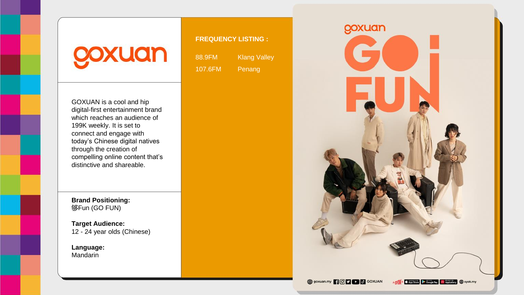## coxuan

**FREQUENCY LISTING :**

88.9FM Klang Valley 107.6FM Penang

GOXUAN is a cool and hip digital-first entertainment brand which reaches an audience of 199K weekly. It is set to connect and engage with today's Chinese digital natives through the creation of compelling online content that's distinctive and shareable.

**Brand Positioning:** 够Fun (GO FUN)

**Target Audience:** 12 - 24 year olds (Chinese)

**Language:** Mandarin

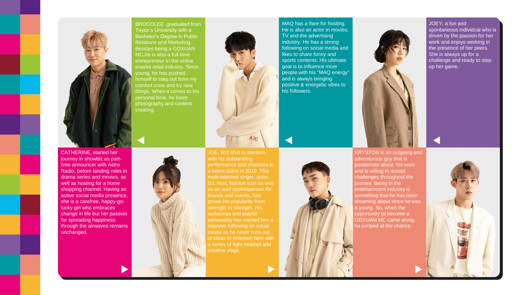

BROCOLEE graduated from Taylor's University with a Bachelor's Degree in Public Relations and Marketing, Besides being a GOXUAN MC,he is also a full-time entrepreneur in the online snacks retail industry. Since young, he has pushed himself to step out from my comfort zone and try new things. When it comes to his personal time, he loves photography and content creating.

CATHERINE, started her journey in showbiz as parttime announcer with Astro Radio, before landing roles in drama series and movies, as well as hosting for a home shopping channel. Having an active social media presence, she is a carefree, happy-golucky girl who embraces change in life but her passion for spreading happiness through the airwaves remains unchanged.



JOE, first shot to stardom with his outstanding performance and charisma in a talent quest in 2010. This multi-talented singer, actor, DJ, host, fashion icon as well as an avid spokesperson for brands and events, has grown his popularity from audacious and playful personality has earned him a massive following on social media as he never runs out of ideas to entertain fans with

AM

MAQ has a flare for hosting. He is also an actor in movies, TV and the advertising industry. He has a strong following on social media and likes to share funny and sports contents. His ultimate goal is to influence more people with his "MAQ energy" and is always bringing positive & energetic vibes to his followers.



KRYSTON is an outgoing and adventurous guy that is passionate about his work and is willing to accept challenges throughout the journey. Being in the entertainment industry is something that he has been dreaming about since he was a young. So, when the opportunity to become a GOXUAN MC came along, he jumped at the chance.

JOEY, a fun and spontaneous individual who is driven by the passion for her work and enjoys working in the presence of her peers. She is always up for a challenge and ready to step up her game.